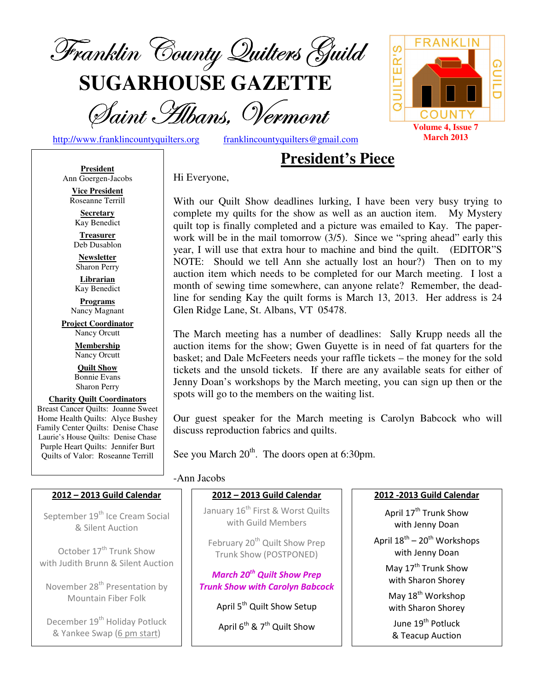

**SUGARHOUSE GAZETTE**

Saint Hibans, Vermont

QUILTER'S **COUNTY Volume 4, Issue 7 March 2013**

**FRANK** 

င္ပ

http://www.franklincountyquilters.org franklincountyquilters@gmail.com

## **President's Piece**

**President** Ann Goergen-Jacobs

**Vice President**  Roseanne Terrill **Secretary** 

Kay Benedict

**Treasurer**  Deb Dusablon

**Newsletter**  Sharon Perry

**Librarian**  Kay Benedict

**Programs** Nancy Magnant

**Project Coordinator** Nancy Orcutt

> **Membership**  Nancy Orcutt

**Quilt Show** Bonnie Evans Sharon Perry

#### **Charity Quilt Coordinators** Breast Cancer Quilts: Joanne Sweet Home Health Quilts: Alyce Bushey Family Center Quilts: Denise Chase Laurie's House Quilts: Denise Chase Purple Heart Quilts: Jennifer Burt Quilts of Valor: Roseanne Terrill

Hi Everyone,

With our Quilt Show deadlines lurking, I have been very busy trying to complete my quilts for the show as well as an auction item. My Mystery quilt top is finally completed and a picture was emailed to Kay. The paperwork will be in the mail tomorrow (3/5). Since we "spring ahead" early this year, I will use that extra hour to machine and bind the quilt. (EDITOR"S NOTE: Should we tell Ann she actually lost an hour?) Then on to my auction item which needs to be completed for our March meeting. I lost a month of sewing time somewhere, can anyone relate? Remember, the deadline for sending Kay the quilt forms is March 13, 2013. Her address is 24 Glen Ridge Lane, St. Albans, VT 05478.

The March meeting has a number of deadlines: Sally Krupp needs all the auction items for the show; Gwen Guyette is in need of fat quarters for the basket; and Dale McFeeters needs your raffle tickets – the money for the sold tickets and the unsold tickets. If there are any available seats for either of Jenny Doan's workshops by the March meeting, you can sign up then or the spots will go to the members on the waiting list.

Our guest speaker for the March meeting is Carolyn Babcock who will discuss reproduction fabrics and quilts.

See you March  $20^{th}$ . The doors open at 6:30pm.

#### -Ann Jacobs

#### 2012 – 2013 Guild Calendar

September 19<sup>th</sup> Ice Cream Social & Silent Auction

October 17<sup>th</sup> Trunk Show with Judith Brunn & Silent Auction

November 28<sup>th</sup> Presentation by Mountain Fiber Folk

December 19<sup>th</sup> Holiday Potluck & Yankee Swap (6 pm start)

#### January 16<sup>th</sup> First & Worst Quilts with Guild Members

2012 – 2013 Guild Calendar

February 20<sup>th</sup> Quilt Show Prep Trunk Show (POSTPONED)

March 20<sup>th</sup> Quilt Show Prep Trunk Show with Carolyn Babcock

April 5<sup>th</sup> Quilt Show Setup

April  $6^{th}$  & 7<sup>th</sup> Quilt Show

#### 2012 -2013 Guild Calendar

April 17<sup>th</sup> Trunk Show with Jenny Doan April  $18^{th}$  –  $20^{th}$  Workshops with Jenny Doan May 17<sup>th</sup> Trunk Show with Sharon Shorey May 18<sup>th</sup> Workshop with Sharon Shorey June 19<sup>th</sup> Potluck & Teacup Auction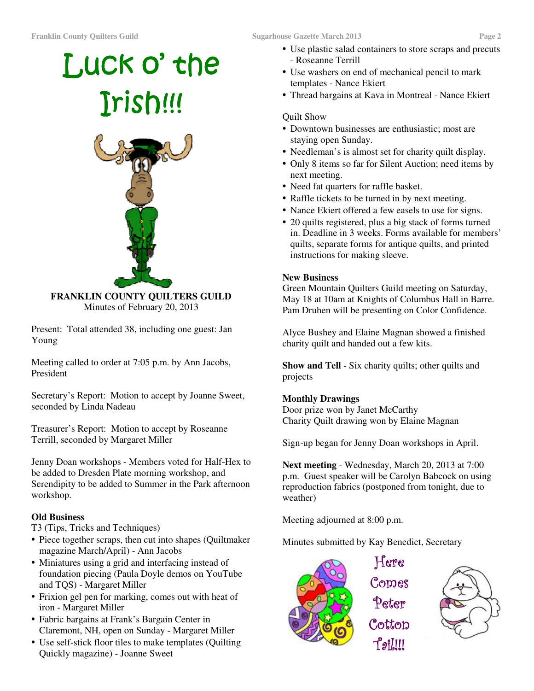# Luck o' the Irish!!!



**FRANKLIN COUNTY QUILTERS GUILD**  Minutes of February 20, 2013

Present: Total attended 38, including one guest: Jan Young

Meeting called to order at 7:05 p.m. by Ann Jacobs, President

Secretary's Report: Motion to accept by Joanne Sweet, seconded by Linda Nadeau

Treasurer's Report: Motion to accept by Roseanne Terrill, seconded by Margaret Miller

Jenny Doan workshops - Members voted for Half-Hex to be added to Dresden Plate morning workshop, and Serendipity to be added to Summer in the Park afternoon workshop.

#### **Old Business**

T3 (Tips, Tricks and Techniques)

- Piece together scraps, then cut into shapes (Quiltmaker magazine March/April) - Ann Jacobs
- Miniatures using a grid and interfacing instead of foundation piecing (Paula Doyle demos on YouTube and TQS) - Margaret Miller
- Frixion gel pen for marking, comes out with heat of iron - Margaret Miller
- Fabric bargains at Frank's Bargain Center in Claremont, NH, open on Sunday - Margaret Miller
- Use self-stick floor tiles to make templates (Quilting Quickly magazine) - Joanne Sweet
- Use plastic salad containers to store scraps and precuts - Roseanne Terrill
- Use washers on end of mechanical pencil to mark templates - Nance Ekiert
- Thread bargains at Kava in Montreal Nance Ekiert

#### Quilt Show

- Downtown businesses are enthusiastic; most are staying open Sunday.
- Needleman's is almost set for charity quilt display.
- Only 8 items so far for Silent Auction; need items by next meeting.
- Need fat quarters for raffle basket.
- Raffle tickets to be turned in by next meeting.
- Nance Ekiert offered a few easels to use for signs.
- 20 quilts registered, plus a big stack of forms turned in. Deadline in 3 weeks. Forms available for members' quilts, separate forms for antique quilts, and printed instructions for making sleeve.

#### **New Business**

Green Mountain Quilters Guild meeting on Saturday, May 18 at 10am at Knights of Columbus Hall in Barre. Pam Druhen will be presenting on Color Confidence.

Alyce Bushey and Elaine Magnan showed a finished charity quilt and handed out a few kits.

**Show and Tell** - Six charity quilts; other quilts and projects

#### **Monthly Drawings**

Door prize won by Janet McCarthy Charity Quilt drawing won by Elaine Magnan

Sign-up began for Jenny Doan workshops in April.

**Next meeting** - Wednesday, March 20, 2013 at 7:00 p.m. Guest speaker will be Carolyn Babcock on using reproduction fabrics (postponed from tonight, due to weather)

Meeting adjourned at 8:00 p.m.

Minutes submitted by Kay Benedict, Secretary

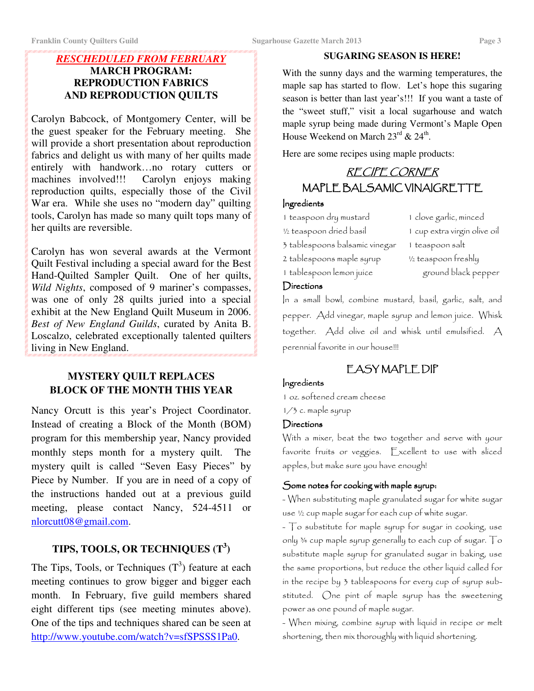#### *RESCHEDULED FROM FEBRUARY*  **MARCH PROGRAM: REPRODUCTION FABRICS AND REPRODUCTION QUILTS**

Carolyn Babcock, of Montgomery Center, will be the guest speaker for the February meeting. She will provide a short presentation about reproduction fabrics and delight us with many of her quilts made entirely with handwork...no rotary cutters or machines involved!!! Carolyn enjoys making Carolyn enjoys making reproduction quilts, especially those of the Civil War era. While she uses no "modern day" quilting tools, Carolyn has made so many quilt tops many of her quilts are reversible.

Carolyn has won several awards at the Vermont Quilt Festival including a special award for the Best Hand-Quilted Sampler Quilt. One of her quilts, *Wild Nights*, composed of 9 mariner's compasses, was one of only 28 quilts juried into a special exhibit at the New England Quilt Museum in 2006. *Best of New England Guilds*, curated by Anita B. Loscalzo, celebrated exceptionally talented quilters living in New England.

#### **MYSTERY QUILT REPLACES BLOCK OF THE MONTH THIS YEAR**

Nancy Orcutt is this year's Project Coordinator. Instead of creating a Block of the Month (BOM) program for this membership year, Nancy provided monthly steps month for a mystery quilt. The mystery quilt is called "Seven Easy Pieces" by Piece by Number. If you are in need of a copy of the instructions handed out at a previous guild meeting, please contact Nancy, 524-4511 or nlorcutt08@gmail.com.

## **TIPS, TOOLS, OR TECHNIQUES (T<sup>3</sup> )**

The Tips, Tools, or Techniques  $(T^3)$  feature at each meeting continues to grow bigger and bigger each month. In February, five guild members shared eight different tips (see meeting minutes above). One of the tips and techniques shared can be seen at http://www.youtube.com/watch?v=sfSPSSS1Pa0.

#### **SUGARING SEASON IS HERE!**

With the sunny days and the warming temperatures, the maple sap has started to flow. Let's hope this sugaring season is better than last year's!!! If you want a taste of the "sweet stuff," visit a local sugarhouse and watch maple syrup being made during Vermont's Maple Open House Weekend on March  $23^{\text{rd}}$  &  $24^{\text{th}}$ .

Here are some recipes using maple products:

## RECIPE CORNER MAPLE BALSAMIC VINAIGRETTE

#### Ingredients

- 1 teaspoon dry mustard 1 clove garlic, minced
- 
- 
- 
- <sup>1/2</sup> teaspoon dried basil 1 cup extra virgin olive oil 3 tablespoons balsamic vinegar 1 teaspoon salt 2 tablespoons maple syrup ½ teaspoon freshly 1 tablespoon lemon juice ground black pepper

#### **Directions**

In a small bowl, combine mustard, basil, garlic, salt, and pepper. Add vinegar, maple syrup and lemon juice. Whisk together. Add olive oil and whisk until emulsified. A perennial favorite in our house!!!

## EASYMAPLEDIP

#### Ingredients

1 oz. softened cream cheese

1/3 c. maple syrup

#### **Directions**

With a mixer, beat the two together and serve with your favorite fruits or veggies. Excellent to use with sliced apples, but make sure you have enough!

#### Some notes for cooking with maple syrup:

- When substituting maple granulated sugar for white sugar use ½ cup maple sugar for each cup of white sugar.

- To substitute for maple syrup for sugar in cooking, use only ¾ cup maple syrup generally to each cup of sugar. To substitute maple syrup for granulated sugar in baking, use the same proportions, but reduce the other liquid called for in the recipe by 3 tablespoons for every cup of syrup substituted. One pint of maple syrup has the sweetening power as one pound of maple sugar.

- When mixing, combine syrup with liquid in recipe or melt shortening, then mix thoroughly with liquid shortening.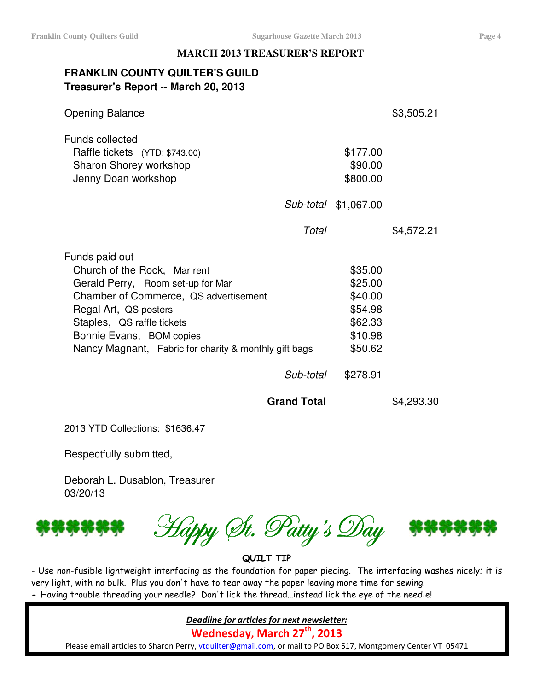#### **MARCH 2013 TREASURER'S REPORT**

### **FRANKLIN COUNTY QUILTER'S GUILD Treasurer's Report -- March 20, 2013**

| <b>Opening Balance</b>                                                                                                                                                                                                                                                                |                                                                                       | \$3,505.21 |
|---------------------------------------------------------------------------------------------------------------------------------------------------------------------------------------------------------------------------------------------------------------------------------------|---------------------------------------------------------------------------------------|------------|
| <b>Funds collected</b><br>Raffle tickets (YTD: \$743.00)<br>Sharon Shorey workshop<br>Jenny Doan workshop                                                                                                                                                                             | \$177.00<br>\$90.00<br>\$800.00                                                       |            |
|                                                                                                                                                                                                                                                                                       | Sub-total \$1,067.00                                                                  |            |
| Total                                                                                                                                                                                                                                                                                 |                                                                                       | \$4,572.21 |
| Funds paid out<br>Church of the Rock, Mar rent<br>Gerald Perry, Room set-up for Mar<br>Chamber of Commerce, QS advertisement<br>Regal Art, QS posters<br>Staples, QS raffle tickets<br>Bonnie Evans, BOM copies<br>Nancy Magnant, Fabric for charity & monthly gift bags<br>Sub-total | \$35.00<br>\$25.00<br>\$40.00<br>\$54.98<br>\$62.33<br>\$10.98<br>\$50.62<br>\$278.91 |            |
| <b>Grand Total</b>                                                                                                                                                                                                                                                                    |                                                                                       | \$4,293.30 |
|                                                                                                                                                                                                                                                                                       |                                                                                       |            |

2013 YTD Collections: \$1636.47

Respectfully submitted,

Deborah L. Dusablon, Treasurer 03/20/13





QUILT TIP

- Use non-fusible lightweight interfacing as the foundation for paper piecing. The interfacing washes nicely; it is very light, with no bulk. Plus you don't have to tear away the paper leaving more time for sewing! - Having trouble threading your needle? Don't lick the thread…instead lick the eye of the needle!

Deadline for articles for next newsletter:

Wednesday, March  $27<sup>th</sup>$ , 2013

Please email articles to Sharon Perry, vtquilter@gmail.com, or mail to PO Box 517, Montgomery Center VT 05471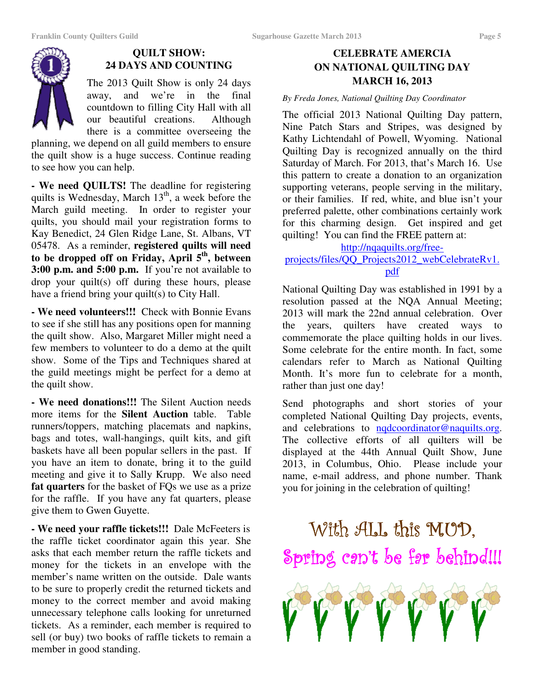

#### **QUILT SHOW: 24 DAYS AND COUNTING**

The 2013 Quilt Show is only 24 days away, and we're in the final countdown to filling City Hall with all our beautiful creations. Although there is a committee overseeing the

planning, we depend on all guild members to ensure the quilt show is a huge success. Continue reading to see how you can help.

**- We need QUILTS!** The deadline for registering quilts is Wednesday, March  $13<sup>th</sup>$ , a week before the March guild meeting. In order to register your quilts, you should mail your registration forms to Kay Benedict, 24 Glen Ridge Lane, St. Albans, VT 05478. As a reminder, **registered quilts will need to be dropped off on Friday, April 5th, between 3:00 p.m. and 5:00 p.m.** If you're not available to drop your quilt(s) off during these hours, please have a friend bring your quilt(s) to City Hall.

**- We need volunteers!!!** Check with Bonnie Evans to see if she still has any positions open for manning the quilt show. Also, Margaret Miller might need a few members to volunteer to do a demo at the quilt show. Some of the Tips and Techniques shared at the guild meetings might be perfect for a demo at the quilt show.

**- We need donations!!!** The Silent Auction needs more items for the **Silent Auction** table. Table runners/toppers, matching placemats and napkins, bags and totes, wall-hangings, quilt kits, and gift baskets have all been popular sellers in the past. If you have an item to donate, bring it to the guild meeting and give it to Sally Krupp. We also need **fat quarters** for the basket of FQs we use as a prize for the raffle. If you have any fat quarters, please give them to Gwen Guyette.

**- We need your raffle tickets!!!** Dale McFeeters is the raffle ticket coordinator again this year. She asks that each member return the raffle tickets and money for the tickets in an envelope with the member's name written on the outside. Dale wants to be sure to properly credit the returned tickets and money to the correct member and avoid making unnecessary telephone calls looking for unreturned tickets. As a reminder, each member is required to sell (or buy) two books of raffle tickets to remain a member in good standing.

#### **CELEBRATE AMERCIA ON NATIONAL QUILTING DAY MARCH 16, 2013**

#### *By Freda Jones, National Quilting Day Coordinator*

The official 2013 National Quilting Day pattern, Nine Patch Stars and Stripes, was designed by Kathy Lichtendahl of Powell, Wyoming. National Quilting Day is recognized annually on the third Saturday of March. For 2013, that's March 16. Use this pattern to create a donation to an organization supporting veterans, people serving in the military, or their families. If red, white, and blue isn't your preferred palette, other combinations certainly work for this charming design. Get inspired and get quilting! You can find the FREE pattern at:

http://nqaquilts.org/free-

#### projects/files/QQ\_Projects2012\_webCelebrateRv1. pdf

National Quilting Day was established in 1991 by a resolution passed at the NQA Annual Meeting; 2013 will mark the 22nd annual celebration. Over the years, quilters have created ways to commemorate the place quilting holds in our lives. Some celebrate for the entire month. In fact, some calendars refer to March as National Quilting Month. It's more fun to celebrate for a month, rather than just one day!

Send photographs and short stories of your completed National Quilting Day projects, events, and celebrations to nqdcoordinator@naquilts.org. The collective efforts of all quilters will be displayed at the 44th Annual Quilt Show, June 2013, in Columbus, Ohio. Please include your name, e-mail address, and phone number. Thank you for joining in the celebration of quilting!

## With ALL this MUD. Spring can't be far behind!!!